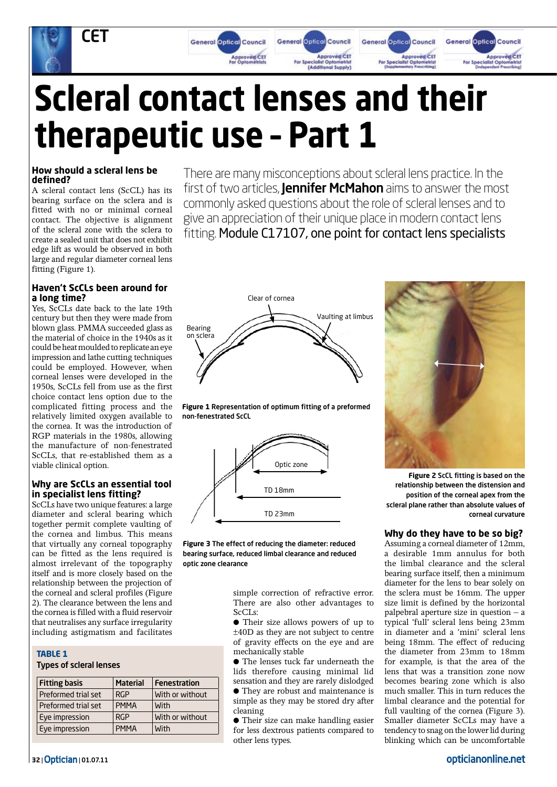

# **Scleral contact lenses and their therapeutic use – Part 1**

#### **How should a scleral lens be defined?**

A scleral contact lens (ScCL) has its bearing surface on the sclera and is fitted with no or minimal corneal contact. The objective is alignment of the scleral zone with the sclera to create a sealed unit that does not exhibit edge lift as would be observed in both large and regular diameter corneal lens fitting (Figure 1).

#### **Haven't ScCLs been around for a long time?**

Yes, ScCLs date back to the late 19th century but then they were made from blown glass. PMMA succeeded glass as the material of choice in the 1940s as it could be heat moulded to replicate an eye impression and lathe cutting techniques could be employed. However, when corneal lenses were developed in the 1950s, ScCLs fell from use as the first choice contact lens option due to the complicated fitting process and the relatively limited oxygen available to the cornea. It was the introduction of RGP materials in the 1980s, allowing the manufacture of non-fenestrated ScCLs, that re-established them as a viable clinical option.

#### **Why are ScCLs an essential tool in specialist lens fitting?**

ScCLs have two unique features: a large diameter and scleral bearing which together permit complete vaulting of the cornea and limbus. This means that virtually any corneal topography can be fitted as the lens required is almost irrelevant of the topography itself and is more closely based on the relationship between the projection of the corneal and scleral profiles (Figure 2). The clearance between the lens and the cornea is filled with a fluid reservoir that neutralises any surface irregularity including astigmatism and facilitates

#### **Table 1**

Types of scleral lenses

| <b>Fitting basis</b> | <b>Material</b> | <b>Fenestration</b> |
|----------------------|-----------------|---------------------|
| Preformed trial set  | <b>RGP</b>      | With or without     |
| Preformed trial set  | <b>PMMA</b>     | <b>With</b>         |
| Eye impression       | <b>RGP</b>      | With or without     |
| Eye impression       | <b>PMMA</b>     | <b>With</b>         |

There are many misconceptions about scleral lens practice. In the first of two articles, **Jennifer McMahon** aims to answer the most commonly asked questions about the role of scleral lenses and to give an appreciation of their unique place in modern contact lens fitting. Module C17107, one point for contact lens specialists







**Figure 3** The effect of reducing the diameter: reduced bearing surface, reduced limbal clearance and reduced optic zone clearance

> simple correction of refractive error. There are also other advantages to  $ScCIs$

> ● Their size allows powers of up to ±40D as they are not subject to centre of gravity effects on the eye and are mechanically stable

> ● The lenses tuck far underneath the lids therefore causing minimal lid sensation and they are rarely dislodged ● They are robust and maintenance is simple as they may be stored dry after cleaning

> ● Their size can make handling easier for less dextrous patients compared to other lens types.



**Figure 2** ScCL fitting is based on the relationship between the distension and position of the corneal apex from the scleral plane rather than absolute values of corneal curvature

#### **Why do they have to be so big?**

Assuming a corneal diameter of 12mm, a desirable 1mm annulus for both the limbal clearance and the scleral bearing surface itself, then a minimum diameter for the lens to bear solely on the sclera must be 16mm. The upper size limit is defined by the horizontal palpebral aperture size in question – a typical 'full' scleral lens being 23mm in diameter and a 'mini' scleral lens being 18mm. The effect of reducing the diameter from 23mm to 18mm for example, is that the area of the lens that was a transition zone now becomes bearing zone which is also much smaller. This in turn reduces the limbal clearance and the potential for full vaulting of the cornea (Figure 3). Smaller diameter ScCLs may have a tendency to snag on the lower lid during blinking which can be uncomfortable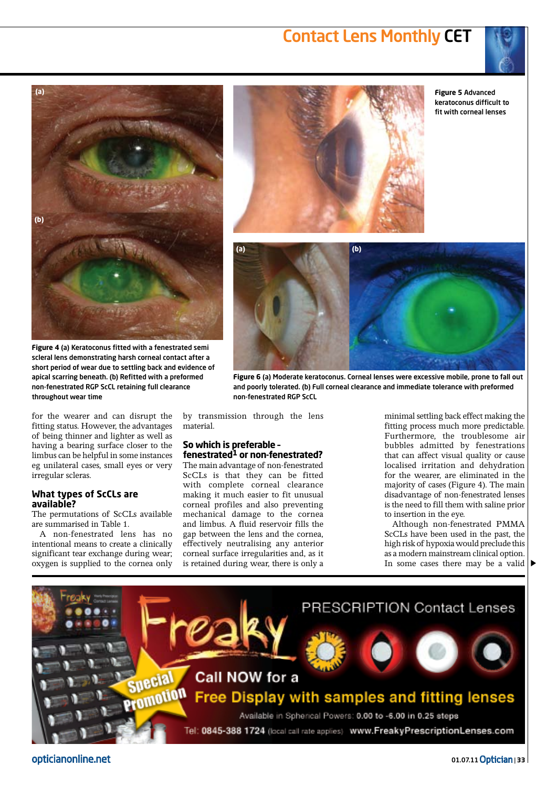### Contact Lens Monthly CET





**Figure 4** (a) Keratoconus fitted with a fenestrated semi scleral lens demonstrating harsh corneal contact after a short period of wear due to settling back and evidence of apical scarring beneath. (b) Refitted with a preformed non-fenestrated RGP ScCL retaining full clearance throughout wear time

for the wearer and can disrupt the fitting status. However, the advantages of being thinner and lighter as well as having a bearing surface closer to the limbus can be helpful in some instances eg unilateral cases, small eyes or very irregular scleras.

#### **What types of ScCLs are available?**

The permutations of ScCLs available are summarised in Table 1.

A non-fenestrated lens has no intentional means to create a clinically significant tear exchange during wear; oxygen is supplied to the cornea only



**Figure 5** Advanced keratoconus difficult to fit with corneal lenses



**Figure 6** (a) Moderate keratoconus. Corneal lenses were excessive mobile, prone to fall out and poorly tolerated. (b) Full corneal clearance and immediate tolerance with preformed non-fenestrated RGP ScCL

by transmission through the lens material.

#### **So which is preferable – fenestrated1 or non-fenestrated?**

The main advantage of non-fenestrated ScCLs is that they can be fitted with complete corneal clearance making it much easier to fit unusual corneal profiles and also preventing mechanical damage to the cornea and limbus. A fluid reservoir fills the gap between the lens and the cornea, effectively neutralising any anterior corneal surface irregularities and, as it is retained during wear, there is only a

minimal settling back effect making the fitting process much more predictable. Furthermore, the troublesome air bubbles admitted by fenestrations that can affect visual quality or cause localised irritation and dehydration for the wearer, are eliminated in the majority of cases (Figure 4). The main disadvantage of non-fenestrated lenses is the need to fill them with saline prior to insertion in the eye.

Although non-fenestrated PMMA ScCLs have been used in the past, the high risk of hypoxia would preclude this as a modern mainstream clinical option. In some cases there may be a valid  $\triangleright$ 



opticianonline.net

01.07.11Optician | **33**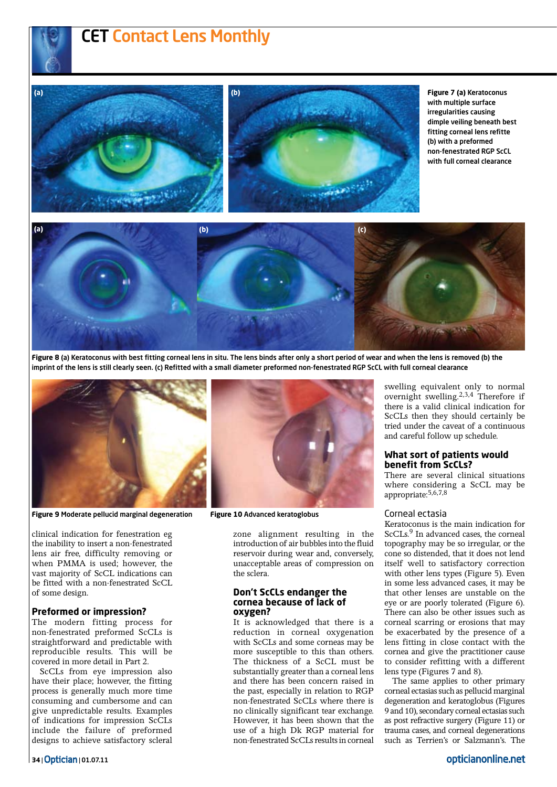# CET Contact Lens Monthly



**Figure 7 (a)** Keratoconus with multiple surface irregularities causing dimple veiling beneath best fitting corneal lens refitte (b) with a preformed non-fenestrated RGP ScCL with full corneal clearance



**Figure 8** (a) Keratoconus with best fitting corneal lens in situ. The lens binds after only a short period of wear and when the lens is removed (b) the imprint of the lens is still clearly seen. (c) Refitted with a small diameter preformed non-fenestrated RGP ScCL with full corneal clearance



**Figure 9** Moderate pellucid marginal degeneration **Figure 10** Advanced keratoglobus

clinical indication for fenestration eg the inability to insert a non-fenestrated lens air free, difficulty removing or when PMMA is used; however, the vast majority of ScCL indications can be fitted with a non-fenestrated ScCL of some design.

#### **Preformed or impression?**

The modern fitting process for non-fenestrated preformed ScCLs is straightforward and predictable with reproducible results. This will be covered in more detail in Part 2.

ScCLs from eye impression also have their place; however, the fitting process is generally much more time consuming and cumbersome and can give unpredictable results. Examples of indications for impression ScCLs include the failure of preformed designs to achieve satisfactory scleral



zone alignment resulting in the introduction of air bubbles into the fluid reservoir during wear and, conversely, unacceptable areas of compression on the sclera.

#### **Don't ScCLs endanger the cornea because of lack of oxygen?**

It is acknowledged that there is a reduction in corneal oxygenation with ScCLs and some corneas may be more susceptible to this than others. The thickness of a ScCL must be substantially greater than a corneal lens and there has been concern raised in the past, especially in relation to RGP non-fenestrated ScCLs where there is no clinically significant tear exchange. However, it has been shown that the use of a high Dk RGP material for non-fenestrated ScCLs results in corneal swelling equivalent only to normal overnight swelling.2,3,4 Therefore if there is a valid clinical indication for ScCLs then they should certainly be tried under the caveat of a continuous and careful follow up schedule.

#### **What sort of patients would benefit from ScCLs?**

There are several clinical situations where considering a ScCL may be appropriate:5,6,7,8

#### Corneal ectasia

Keratoconus is the main indication for ScCLs.<sup>9</sup> In advanced cases, the corneal topography may be so irregular, or the cone so distended, that it does not lend itself well to satisfactory correction with other lens types (Figure 5). Even in some less advanced cases, it may be that other lenses are unstable on the eye or are poorly tolerated (Figure 6). There can also be other issues such as corneal scarring or erosions that may be exacerbated by the presence of a lens fitting in close contact with the cornea and give the practitioner cause to consider refitting with a different lens type (Figures 7 and 8).

The same applies to other primary corneal ectasias such as pellucid marginal degeneration and keratoglobus (Figures 9 and 10), secondary corneal ectasias such as post refractive surgery (Figure 11) or trauma cases, and corneal degenerations such as Terrien's or Salzmann's. The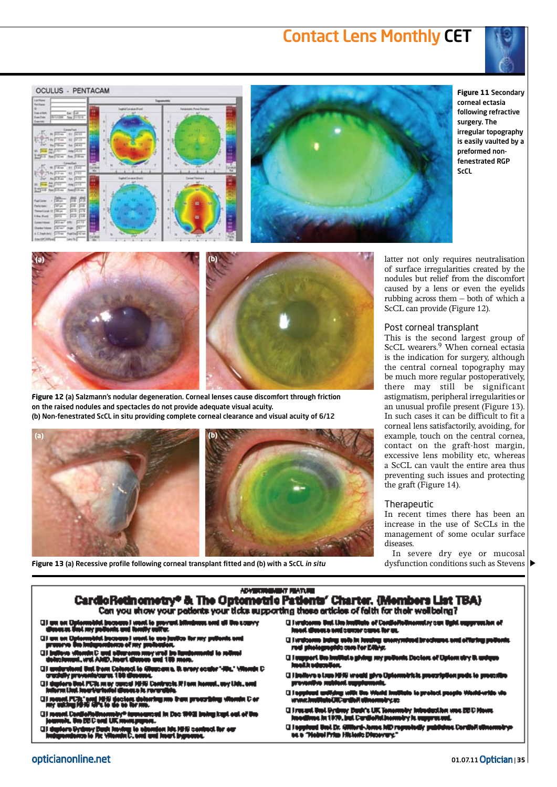### Contact Lens Monthly CET







**Figure 11** Secondary corneal ectasia following refractive surgery. The irregular topography is easily vaulted by a preformed nonfenestrated RGP ScCL





**Figure 12** (a) Salzmann's nodular degeneration. Corneal lenses cause discomfort through friction on the raised nodules and spectacles do not provide adequate visual acuity. (b) Non-fenestrated ScCL in situ providing complete corneal clearance and visual acuity of 6/12



latter not only requires neutralisation of surface irregularities created by the nodules but relief from the discomfort caused by a lens or even the eyelids rubbing across them – both of which a ScCL can provide (Figure 12).

#### Post corneal transplant

This is the second largest group of ScCL wearers.<sup>9</sup> When corneal ectasia is the indication for surgery, although the central corneal topography may be much more regular postoperatively, there may still be significant astigmatism, peripheral irregularities or an unusual profile present (Figure 13). In such cases it can be difficult to fit a corneal lens satisfactorily, avoiding, for example, touch on the central cornea, contact on the graft-host margin, excessive lens mobility etc, whereas a ScCL can vault the entire area thus preventing such issues and protecting the graft (Figure 14).

#### **Therapeutic**

In recent times there has been an increase in the use of ScCLs in the management of some ocular surface diseases.

In severe dry eye or mucosal dysfunction conditions such as Stevens

**Figure 13** (a) Recessive profile following corneal transplant fitted and (b) with a ScCL *in situ*

#### **ADVERTISING THAT ARE** CardioRetinometry\* & The Optometric Patients' Charter. (Members List TBA) Can you show your patients your ticks supporting these articles of faith for their wallbaing?

- ш
- 
- 
- a. Ila annon do
- n Ber
- n kant oot of the Dec 1983 Ind
- H u ect for our
- 
- **Q Inniverse But the Institute of Centrell** lead there sent come care for at.
- () I watcome being autoin homing a<br>real photographic core for EMVs.
- ert Om knottet a giving very prot  $\Box$
- leve a Lius HHS would give Dy **OIL**
- mirym
- **Girosont Unit Sydney Book's UK Tenen** ime in 1979, jul Curdisfulls Ary is supp
- l Ingglesel Dest Dr. Alliterd-Jerms MD regents<br>141 a "Hebrei Prim Hitterde Discovery." **O I M**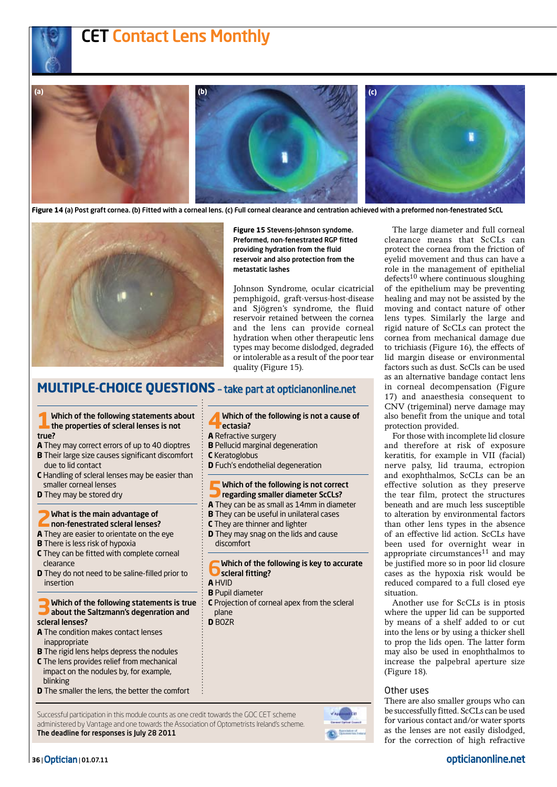# CET Contact Lens Monthly



**Figure 14** (a) Post graft cornea. (b) Fitted with a corneal lens. (c) Full corneal clearance and centration achieved with a preformed non-fenestrated ScCL



**Figure 15** Stevens-Johnson syndome. Preformed, non-fenestrated RGP fitted providing hydration from the fluid reservoir and also protection from the metastatic lashes

Johnson Syndrome, ocular cicatricial pemphigoid, graft-versus-host-disease and Sjögren's syndrome, the fluid reservoir retained between the cornea and the lens can provide corneal hydration when other therapeutic lens types may become dislodged, degraded or intolerable as a result of the poor tear quality (Figure 15).

#### **Multiple-choice questions** – take part at opticianonline.net

# **1**Which of the following statements about the properties of scleral lenses is not

- true?
- **A** They may correct errors of up to 40 dioptres **B** Their large size causes significant discomfort
- due to lid contact
- **C** Handling of scleral lenses may be easier than smaller corneal lenses
- **D** They may be stored dry

# **2**What is the main advantage of non-fenestrated scleral lenses?

- **A** They are easier to orientate on the eye
- **B** There is less risk of hypoxia
- **C** They can be fitted with complete corneal clearance
- **D** They do not need to be saline-filled prior to insertion

#### **3**Which of the following statements is true about the Saltzmann's degenration and scleral lenses?

- **A** The condition makes contact lenses inappropriate
- **B** The rigid lens helps depress the nodules
- **C** The lens provides relief from mechanical impact on the nodules by, for example, blinking
- **D** The smaller the lens, the better the comfort

#### Successful participation in this module counts as one credit towards the GOC CET scheme administered by Vantage and one towards the Association of Optometrists Ireland's scheme. The deadline for responses is July 28 2011

**4**Which of the following is not a cause of ectasia?

- **A** Refractive surgery
- **B** Pellucid marginal degeneration
- **C** Keratoglobus
- **D** Fuch's endothelial degeneration
- **5**Which of the following is not correct
- regarding smaller diameter ScCLs?
- **A** They can be as small as 14mm in diameter
- **B** They can be useful in unilateral cases
- **C** They are thinner and lighter
- **D** They may snag on the lids and cause discomfort

Which of the following is key to accurate Scleral fitting?

- **A** HVID **B** Pupil diameter
- **C** Projection of corneal apex from the scleral plane
- **D** BOZR

The large diameter and full corneal clearance means that ScCLs can protect the cornea from the friction of eyelid movement and thus can have a role in the management of epithelial  $defects<sup>10</sup>$  where continuous sloughing of the epithelium may be preventing healing and may not be assisted by the moving and contact nature of other lens types. Similarly the large and rigid nature of ScCLs can protect the cornea from mechanical damage due to trichiasis (Figure 16), the effects of lid margin disease or environmental factors such as dust. ScCls can be used as an alternative bandage contact lens in corneal decompensation (Figure 17) and anaesthesia consequent to CNV (trigeminal) nerve damage may also benefit from the unique and total protection provided.

For those with incomplete lid closure and therefore at risk of exposure keratitis, for example in VII (facial) nerve palsy, lid trauma, ectropion and exophthalmos, ScCLs can be an effective solution as they preserve the tear film, protect the structures beneath and are much less susceptible to alteration by environmental factors than other lens types in the absence of an effective lid action. ScCLs have been used for overnight wear in appropriate circumstances<sup>11</sup> and may be justified more so in poor lid closure cases as the hypoxia risk would be reduced compared to a full closed eye situation.

Another use for ScCLs is in ptosis where the upper lid can be supported by means of a shelf added to or cut into the lens or by using a thicker shell to prop the lids open. The latter form may also be used in enophthalmos to increase the palpebral aperture size (Figure 18).

#### Other uses

There are also smaller groups who can be successfully fitted. ScCLs can be used for various contact and/or water sports as the lenses are not easily dislodged, for the correction of high refractive